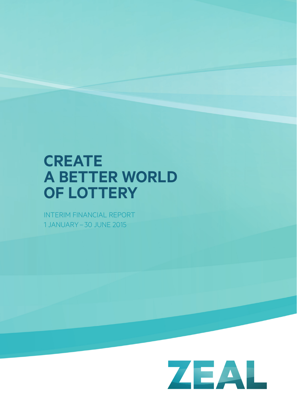# **create a Better worlD of lottery**

INTERIM FINANCIAL REPORT 1 JANUARY – 30 JUNE 2015

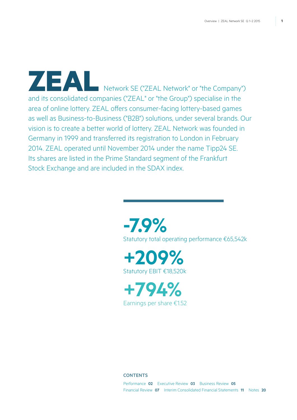Network SE ("ZEAL Network" or "the Company") and its consolidated companies ("ZEAL" or "the Group") specialise in the area of online lottery. ZEAL offers consumer-facing lottery-based games as well as Business-to-Business ("B2B") solutions, under several brands. Our vision is to create a better world of lottery. ZEAL Network was founded in Germany in 1999 and transferred its registration to London in February 2014. ZEAL operated until November 2014 under the name Tipp24 SE. Its shares are listed in the Prime Standard segment of the Frankfurt Stock Exchange and are included in the SDAX index.





**+794%** Earnings per share €1.52

### **CONTENTS**

Performance **02** Executive Review **03** Business Review **05** Financial Review **07** Interim Consolidated Financial Statements **11** Notes **20**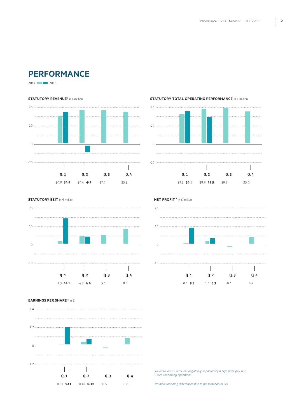# **Performance**

2014 2015

#### **STATUTORY REVENUE<sup>1</sup> in € million**



#### **STATUTORY TOTAL OPERATING PERFORMANCE** in € million



**NET PROFIT<sup>2</sup> in € million** 

**STATUTORY EBIT** in € million



20 10 н  $\Omega$  --10  $\sim$  10  $\sim$  $\mathbb{R}$  $\mathbb{R}$  $\overline{1}$ **Q. 1 Q. 2 Q. 3 Q. 4** 0.1 **9.5** 1.4 **3.3**  $-0.4$  4.2

### **Earnings per share <sup>2</sup>** in �



<sup>1</sup> Revenue in Q.2 2015 was negatively impacted by a high prize pay-out. *2 From continuing operations* 

*(Possible rounding differences due to presentation in €k)*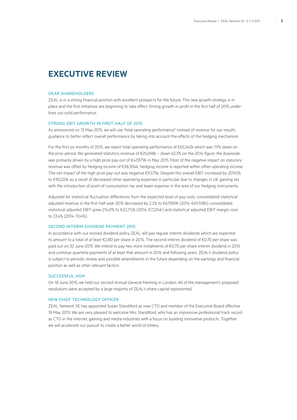# **Executive Review**

#### Dear Shareholders

ZEAL is in a strong financial position with excellent prospects for the future. The new growth strategy is in place and the first initiatives are beginning to take effect. Strong growth in profit in the first half of 2015 underlines our solid performance.

### Strong EBIT growth in first half of 2015

As announced on 13 May 2015, we will use "total operating performance" instead of revenue for our results guidance to better reflect overall performance by taking into account the effects of the hedging mechanism.

For the first six months of 2015, we report total operating performance of €65,542k which was 7.9% down on the prior period. We generated statutory revenue of €25,698k – down 62.3% on the 2014 figure, the downside was primarily driven by a high prize pay-out of €47,879k in May 2015. Most of the negative impact on statutory revenue was offset by hedging income of €38,304k, hedging income is reported within other operating income. The net impact of the high prize pay-out was negative €9,575k. Despite this overall EBIT increased by 209.0% to €18,520k as a result of decreased other operating expenses in particular due to changes in UK gaming tax with the introduction of point of consumption tax and lower expense in the area of our hedging instruments.

Adjusted for statistical fluctuation differences from the expected level of pay-outs, consolidated statistical adjusted revenue in the first half-year 2015 decreased by 2.2% to €67,989k (2014: €69,518k), consolidated statistical adjusted EBIT grew 214.0% to €22,712k (2014: €7,234k) and statistical adjusted EBIT margin rose to 33.4% (2014: 10.4%).

#### Second interim dividend payment 2015

In accordance with our revised dividend policy ZEAL will pay regular interim dividends which are expected to amount to a total of at least €2.80 per share in 2015. The second interim dividend of €0.70 per share was paid out on 30 June 2015. We intend to pay two more instalments of €0.70 per share interim dividend in 2015 and continue quarterly payments of at least that amount in 2016 and following years. ZEAL's dividend policy is subject to periodic review and possible amendments in the future depending on the earnings and financial position as well as other relevant factors.

### Successful AGM

On 18 June 2015, we held our second Annual General Meeting in London. All of the management's proposed resolutions were accepted by a large majority of ZEAL's share capital represented.

#### New Chief Technology Officer

ZEAL Network SE has appointed Susan Standiford as new CTO and member of the Executive Board effective 18 May 2015. We are very pleased to welcome Mrs. Standiford, who has an impressive professional track record as CTO in the internet, gaming and media industries with a focus on building innovative products. Together we will accelerate our pursuit to create a better world of lottery.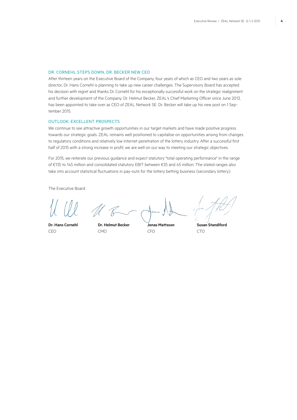### Dr. Cornehl steps down, Dr. Becker new CEO

After thirteen years on the Executive Board of the Company, four years of which as CEO and two years as sole director, Dr. Hans Cornehl is planning to take up new career challenges. The Supervisory Board has accepted his decision with regret and thanks Dr. Cornehl for his exceptionally successful work on the strategic realignment and further development of the Company. Dr. Helmut Becker, ZEAL's Chief Marketing Officer since June 2013, has been appointed to take over as CEO of ZEAL Network SE. Dr. Becker will take up his new post on 1 September 2015.

### Outlook: excellent prospects

We continue to see attractive growth opportunities in our target markets and have made positive progress towards our strategic goals. ZEAL remains well positioned to capitalise on opportunities arising from changes to regulatory conditions and relatively low internet penetration of the lottery industry. After a successful first half of 2015 with a strong increase in profit, we are well on our way to meeting our strategic objectives.

For 2015, we reiterate our previous guidance and expect statutory "total operating performance" in the range of €135 to 145 million and consolidated statutory EBIT between €35 and 45 million. The stated ranges also take into account statistical fluctuations in pay-outs for the lottery betting business (secondary lottery).

The Executive Board

CEO CMO CFO CTO

**Dr. Hans Cornehl Dr. Helmut Becker Jonas Mattsson Susan Standiford**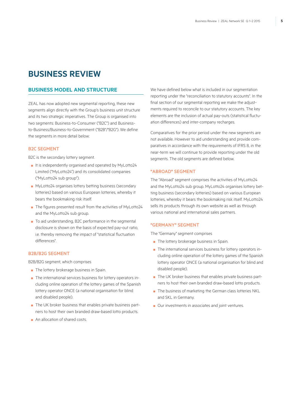# **Business Review**

## **Business Model and Structure**

ZEAL has now adopted new segmental reporting, these new segments align directly with the Group's business unit structure and its two strategic imperatives. The Group is organised into two segments: Business-to-Consumer ("B2C") and Businessto-Business/Business-to-Government ("B2B"/"B2G"). We define the segments in more detail below:

### **B2C SEGMENT**

B2C is the secondary lottery segment.

- It is independently organised and operated by MyLotto24 Limited ("MyLotto24") and its consolidated companies ("MyLotto24 sub group").
- MyLotto24 organises lottery betting business (secondary lotteries) based on various European lotteries, whereby it bears the bookmaking risk itself.
- The figures presented result from the activities of MyLotto24 and the MyLotto24 sub group.
- To aid understanding, B2C performance in the segmental disclosure is shown on the basis of expected pay-out ratio, i.e. thereby removing the impact of "statistical fluctuation differences".

### B2B/B2G segment

B2B/B2G segment, which comprises

- The lottery brokerage business in Spain.
- The international services business for lottery operators including online operation of the lottery games of the Spanish lottery operator ONCE (a national organisation for blind and disabled people).
- The UK broker business that enables private business partners to host their own branded draw-based lotto products.
- An allocation of shared costs.

We have defined below what is included in our segmentation reporting under the "reconciliation to statutory accounts". In the final section of our segmental reporting we make the adjustments required to reconcile to our statutory accounts. The key elements are the inclusion of actual pay-outs (statistical fluctuation differences) and inter-company recharges.

Comparatives for the prior period under the new segments are not available. However to aid understanding and provide comparatives in accordance with the requirements of IFRS 8, in the near-term we will continue to provide reporting under the old segments. The old segments are defined below.

### **"**Abroad**"** Segment

The "Abroad" segment comprises the activities of MyLotto24 and the MyLotto24 sub group. MyLotto24 organises lottery betting business (secondary lotteries) based on various European lotteries, whereby it bears the bookmaking risk itself. MyLotto24 sells its products through its own website as well as through various national and international sales partners.

### **"**Germany**"** segment

The "Germany" segment comprises

- The lottery brokerage business in Spain.
- The international services business for lottery operators including online operation of the lottery games of the Spanish lottery operator ONCE (a national organisation for blind and disabled people).
- The UK broker business that enables private business partners to host their own branded draw-based lotto products.
- The business of marketing the German class lotteries NKL and SKL in Germany.
- Our investments in associates and joint ventures.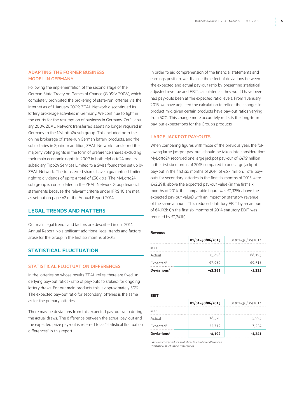### Adapting the former business model in Germany

Following the implementation of the second stage of the German State Treaty on Games of Chance (GlüStV 2008), which completely prohibited the brokering of state-run lotteries via the Internet as of 1 January 2009, ZEAL Network discontinued its lottery brokerage activities in Germany. We continue to fight in the courts for the resumption of business in Germany. On 1 January 2009, ZEAL Network transferred assets no longer required in Germany to the MyLotto24 sub group. This included both the online brokerage of state-run German lottery products, and the subsidiaries in Spain. In addition, ZEAL Network transferred the majority voting rights in the form of preference shares excluding their main economic rights in 2009 in both MyLotto24 and its subsidiary Tipp24 Services Limited to a Swiss foundation set up by ZEAL Network. The transferred shares have a guaranteed limited right to dividends of up to a total of £30k p.a. The MyLotto24 sub group is consolidated in the ZEAL Network Group financial statements because the relevant criteria under IFRS 10 are met, as set out on page 62 of the Annual Report 2014.

# **Legal trends and matters**

Our main legal trends and factors are described in our 2014 Annual Report. No significant additional legal trends and factors arose for the Group in the first six months of 2015.

### **Statistical fluctuation**

### STATISTICAL FLUCTUATION DIFFERENCES

In the lotteries on whose results ZEAL relies, there are fixed underlying pay-out ratios (ratio of pay-outs to stakes) for ongoing lottery draws. For our main products this is approximately 50%. The expected pay-out ratio for secondary lotteries is the same as for the primary lotteries.

There may be deviations from this expected pay-out ratio during the actual draws. The difference between the actual pay-out and the expected prize pay-out is referred to as "statistical fluctuation differences" in this report.

In order to aid comprehension of the financial statements and earnings position, we disclose the effect of deviations between the expected and actual pay-out ratio by presenting statistical adjusted revenue and EBIT, calculated as they would have been had pay-outs been at the expected ratio levels. From 1 January 2015, we have adjusted the calculation to reflect the changes in product mix, given certain products have pay-out ratios varying from 50%. This change more accurately reflects the long-term pay-out expectations for the Group's products.

### Large jackpot pay-outs

When comparing figures with those of the previous year, the following large jackpot pay-outs should be taken into consideration: MyLotto24 recorded one large jackpot pay-out of €47.9 million in the first six months of 2015 compared to one large jackpot pay-out in the first six months of 2014 of €6.7 million. Total payouts for secondary lotteries in the first six months of 2015 were €42,291k above the expected pay-out value (in the first six months of 2014, the comparable figure was €1,325k above the expected pay-out value) with an impact on statutory revenue of the same amount. This reduced statutory EBIT by an amount of €4,192k (in the first six months of 2014 statutory EBIT was reduced by €1,241k).

#### **Revenue**

|                         | 01/01-30/06/2015 | 01/01-30/06/2014 |
|-------------------------|------------------|------------------|
| in $\notin k$           |                  |                  |
| Actual                  | 25.698           | 68.193           |
| Expected <sup>1</sup>   | 67.989           | 69.518           |
| Deviations <sup>2</sup> | $-42,291$        | $-1,325$         |

**EBIT**

|                         | 01/01-30/06/2015 | 01/01-30/06/2014 |
|-------------------------|------------------|------------------|
| in $\notin k$           |                  |                  |
| Actual                  | 18.520           | 5.993            |
| Expected <sup>1</sup>   | 22.712           | 7.234            |
| Deviations <sup>2</sup> | $-4,192$         | $-1,241$         |

*1 Actuals corrected for statistical fluctuation differences*

*2 Statistical fluctuation differences*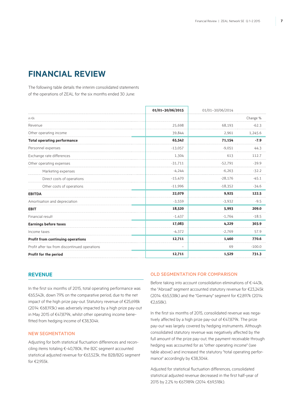# **Financial review**

The following table details the interim consolidated statements of the operations of ZEAL for the six months ended 30 June:

|                                               | 01/01-30/06/2015 | 01/01-30/06/2014 |          |
|-----------------------------------------------|------------------|------------------|----------|
| in $\notin k$                                 |                  |                  | Change % |
| Revenue                                       | 25,698           | 68,193           | $-62.3$  |
| Other operating income                        | 39,844           | 2,961            | 1,245.6  |
| <b>Total operating performance</b>            | 65,542           | 71,154           | $-7.9$   |
| Personnel expenses                            | $-13,057$        | $-9,051$         | 44.3     |
| Exchange rate differences                     | 1,304            | 613              | 112.7    |
| Other operating expenses                      | $-31,711$        | $-52,791$        | $-39.9$  |
| Marketing expenses                            | $-4,244$         | $-6.263$         | $-32.2$  |
| Direct costs of operations                    | $-15,470$        | $-28,176$        | $-45.1$  |
| Other costs of operations                     | $-11,996$        | $-18,352$        | $-34.6$  |
| <b>EBITDA</b>                                 | 22,079           | 9,925            | 122.5    |
| Amortisation and depreciation                 | $-3,559$         | $-3,932$         | $-9.5$   |
| <b>EBIT</b>                                   | 18,520           | 5,993            | 209.0    |
| Financial result                              | $-1,437$         | $-1,764$         | $-18.5$  |
| <b>Earnings before taxes</b>                  | 17,083           | 4,229            | 303.9    |
| Income taxes                                  | $-4,372$         | $-2,769$         | 57.9     |
| Profit from continuing operations             | 12,711           | 1.460            | 770.6    |
| Profit after tax from discontinued operations |                  | 69               | $-100.0$ |
| Profit for the period                         | 12,711           | 1,529            | 731.3    |

### **Revenue**

In the first six months of 2015, total operating performance was €65,542k, down 7.9% on the comparative period, due to the net impact of the high prize pay-out. Statutory revenue of €25,698k (2014: €68,193k) was adversely impacted by a high prize pay-out in May 2015 of €47,879k, whilst other operating income benefitted from hedging income of €38,304k.

### New Segmentation

Adjusting for both statistical fluctuation differences and reconciling items totaling €-40,780k, the B2C segment accounted statistical adjusted revenue for €63,523k, the B2B/B2G segment for €2,955k.

### Old Segmentation for comparison

Before taking into account consolidation eliminations of €-443k, the "Abroad" segment accounted statutory revenue for €23,245k (2014: €65,538k) and the "Germany" segment for €2,897k (2014: €2,658k).

In the first six months of 2015, consolidated revenue was negatively affected by a high prize pay-out of €47,879k. The prize pay-out was largely covered by hedging instruments. Although consolidated statutory revenue was negatively affected by the full amount of the prize pay-out, the payment receivable through hedging was accounted for as "other operating income" (see table above) and increased the statutory "total operating performance" accordingly by €38,304k.

Adjusted for statistical fluctuation differences, consolidated statistical adjusted revenue decreased in the first half-year of 2015 by 2.2% to €67,989k (2014: €69,518k).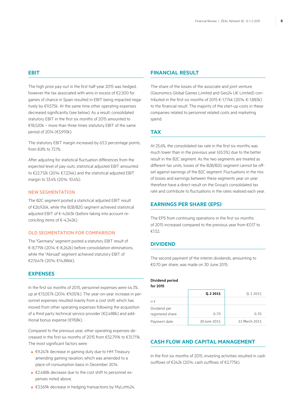### **EBIT**

The high prize pay-out in the first half-year 2015 was hedged, however the tax associated with wins in excess of €2,500 for games of chance in Spain resulted in EBIT being impacted negatively by €9,575k. At the same time other operating expenses decreased significantly (see below). As a result, consolidated statutory EBIT in the first six months of 2015 amounted to €18,520k – more than three times statutory EBIT of the same period of 2014 (€5,993k).

The statutory EBIT margin increased by 63.3 percentage points, from 8.8% to 72.1%.

After adjusting for statistical fluctuation differences from the expected level of pay-outs, statistical adjusted EBIT amounted to €22,712k (2014: €7,234k) and the statistical adjusted EBIT margin to 33.4% (2014: 10.4%).

### New Segmentation

The B2C segment posted a statistical adjusted EBIT result of €26,926k, while the B2B/B2G segment achieved statistical adjusted EBIT of €-4,063k (before taking into account reconciling items of €-4,342k).

### Old Segmentation for comparison

The "Germany" segment posted a statutory EBIT result of €-8,779k (2014: €-8,262k) before consolidation eliminations, while the "Abroad" segment achieved statutory EBIT of €27,647k (2014: €14,886k).

### **Expenses**

In the first six months of 2015, personnel expenses were 44.3% up at €13,057k (2014: €9,051k). The year-on-year increase in personnel expenses resulted mainly from a cost shift, which has moved from other operating expenses following the acquisition of a third party technical service provider (€2,488k) and additional bonus expense (€958k).

Compared to the previous year, other operating expenses decreased in the first six months of 2015 from €52,791k to €31,711k. The most significant factors were:

- €9,247k decrease in gaming duty due to HM Treasury amending gaming taxation, which was amended to a place-of-consumption basis in December 2014.
- €2,488k decrease due to the cost shift to personnel expenses noted above.
- €3,569k decrease in hedging transactions by MyLotto24.

### **Financial result**

The share of the losses of the associate and joint venture (Geonomics Global Games Limited and Geo24 UK Limited) contributed in the first six months of 2015 €-1,774k (2014: €-1,883k) to the financial result. The majority of the start-up costs in these companies related to personnel related costs and marketing spend.

### **Tax**

At 25.6%, the consolidated tax rate in the first six months was much lower than in the previous year (65.5%) due to the better result in the B2C segment. As the two segments are treated as different tax units, losses of the B2B/B2G segment cannot be offset against earnings of the B2C segment. Fluctuations in the mix of losses and earnings between these segments year on year therefore have a direct result on the Group's consolidated tax rate and contribute to fluctuations in the rates realised each year.

### **Earnings per share (EPS)**

The EPS from continuing operations in the first six months of 2015 increased compared to the previous year from €0.17 to €1.52.

### **Dividend**

The second payment of the interim dividends, amounting to €0.70 per share, was made on 30 June 2015.

#### **Dividend period for 2015**

|                  | Q.2 2015     | 0.12015       |
|------------------|--------------|---------------|
| in $\epsilon$    |              |               |
| Dividend per     |              |               |
| registered share | 0.70         | 0.70          |
| Payment date     | 30 June 2015 | 31 March 2015 |

# **Cash flow and Capital Management**

In the first six months of 2015, investing activities resulted in cash outflows of €242k (2014: cash outflows of €2,775k).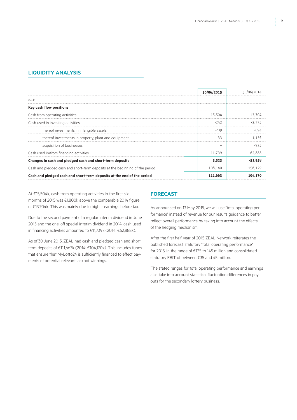### **Liquidity Analysis**

|                                                                              | 30/06/2015 |           |
|------------------------------------------------------------------------------|------------|-----------|
| in $\epsilon$ k                                                              |            |           |
| Key cash flow positions                                                      |            |           |
| Cash from operating activities                                               | 15.504     | 13.704    |
| Cash used in investing activities                                            | $-242$     |           |
| thereof investments in intangible assets                                     | $-209$     |           |
| thereof investments in property, plant and equipment                         | -33        |           |
| acquisition of businesses                                                    |            |           |
| Cash used in/from financing activities                                       | $-11.739$  | -62.888   |
| Changes in cash and pledged cash and short-term deposits                     | 3,523      | $-51.958$ |
| Cash and pledged cash and short-term deposits at the beginning of the period | 108,140    | 156.129   |
| Cash and pledged cash and short-term deposits at the end of the period       | 111,663    | 104.170   |

At €15,504k, cash from operating activities in the first six months of 2015 was €1,800k above the comparable 2014 figure of €13,704k. This was mainly due to higher earnings before tax.

Due to the second payment of a regular interim dividend in June 2015 and the one-off special interim dividend in 2014, cash used in financing activities amounted to €11,739k (2014: €62,888k).

As of 30 June 2015, ZEAL had cash and pledged cash and shortterm deposits of €111,663k (2014: €104,170k). This includes funds that ensure that MyLotto24 is sufficiently financed to effect payments of potential relevant jackpot winnings.

# **Forecast**

As announced on 13 May 2015, we will use "total operating performance" instead of revenue for our results guidance to better reflect overall performance by taking into account the effects of the hedging mechanism.

After the first half-year of 2015 ZEAL Network reiterates the published forecast, statutory "total operating performance" for 2015, in the range of €135 to 145 million and consolidated statutory EBIT of between €35 and 45 million.

The stated ranges for total operating performance and earnings also take into account statistical fluctuation differences in payouts for the secondary lottery business.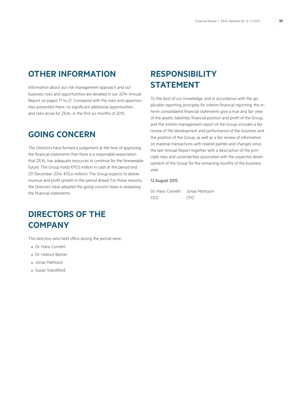# **Other Information**

Information about our risk management approach and our business risks and opportunities are detailed in our 2014 Annual Report on pages 17 to 21. Compared with the risks and opportunities presented there, no significant additional opportunities and risks arose for ZEAL in the first six months of 2015.

# **Going concern**

The Directors have formed a judgement at the time of approving the financial statements that there is a reasonable expectation that ZEAL has adequate resources to continue for the foreseeable future. The Group holds €93.5 million in cash at the period end (31 December 2014: €92.6 million). The Group expects to deliver revenue and profit growth in the period ahead. For these reasons, the Directors have adopted the going concern basis in preparing the financial statements.

# **DIRECTORS OF THE Company**

The directors who held office during the period were:

- Dr. Hans Cornehl
- Dr. Helmut Becker
- Jonas Mattsson
- Susan Standiford

# **Responsibility STATEMENT**

To the best of our knowledge, and in accordance with the applicable reporting principles for interim financial reporting, the interim consolidated financial statements give a true and fair view of the assets, liabilities, financial position and profit of the Group, and the interim management report of the Group includes a fair review of the development and performance of the business and the position of the Group, as well as a fair review of information on material transactions with related parties and changes since the last Annual Report together with a description of the principle risks and uncertainties associated with the expected development of the Group for the remaining months of the business year.

### 12 August 2015

Dr. Hans Cornehl Jonas Mattsson CEO CFO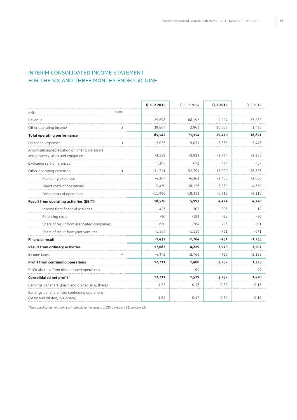# Interim Consolidated Income Statement FOR THE SIX AND THREE MONTHS ENDED 30 JUNE

|                                                                                     |                | $0.1 - 22015$ | $0.1 - 2.2014$ | <b>Q.22015</b> | Q. 2 2014 |
|-------------------------------------------------------------------------------------|----------------|---------------|----------------|----------------|-----------|
| in $\epsilon$ k                                                                     | Notes          |               |                |                |           |
| Revenue                                                                             |                | 25,698        | 68,193         | $-9.204$       | 37,383    |
| Other operating income                                                              | $\overline{2}$ | 39,844        | 2,961          | 38,683         | 1,438     |
| <b>Total operating performance</b>                                                  |                | 65,542        | 71,154         | 29,479         | 38,821    |
| Personnel expenses                                                                  | 3              | $-13,057$     | $-9,051$       | $-6,665$       | $-5,446$  |
| Amortisation/depreciation on intangible assets<br>and property, plant and equipment |                | $-3,559$      | $-3,932$       | $-1,774$       | $-2,256$  |
| Exchange rate differences                                                           |                | 1,304         | 613            | 474            | 457       |
| Other operating expenses                                                            | 4              | $-31,711$     | $-52,791$      | $-17,090$      | $-26,836$ |
| Marketing expenses                                                                  |                | $-4,244$      | $-6,263$       | $-2,488$       | $-2,850$  |
| Direct costs of operations                                                          |                | $-15,470$     | $-28,176$      | $-8,383$       | $-14,870$ |
| Other costs of operations                                                           |                | $-11,996$     | $-18,352$      | $-6,219$       | $-9,116$  |
| <b>Result from operating activities (EBIT)</b>                                      |                | 18,520        | 5,993          | 4,424          | 4,740     |
| Income from financial activities                                                    |                | 427           | 302            | 396            | $-12$     |
| Financing costs                                                                     |                | $-90$         | $-183$         | $-28$          | $-90$     |
| Share of result from associated companies                                           |                | $-630$        | $-764$         | $-298$         | $-501$    |
| Share of result from joint ventures                                                 |                | $-1,144$      | $-1,119$       | $-521$         | $-631$    |
| <b>Financial result</b>                                                             |                | $-1,437$      | $-1,764$       | $-451$         | $-1,233$  |
| <b>Result from ordinary activities</b>                                              |                | 17,083        | 4,229          | 3,973          | 3,507     |
| Income taxes                                                                        | 6              | $-4,372$      | $-2,769$       | $-720$         | $-2,182$  |
| <b>Profit from continuing operations</b>                                            |                | 12,711        | 1,460          | 3,252          | 1,325     |
| Profit after tax from discontinued operations                                       |                |               | 69             |                | 96        |
| Consolidated net profit <sup>1</sup>                                                |                | 12,711        | 1,529          | 3,252          | 1,420     |
| Earnings per share (basic and diluted, in €/share)                                  |                | 1.52          | 0.18           | 0.39           | 0.18      |
| Earnings per share from continuing operations<br>(basic and diluted, in €/share)    |                | 1.52          | 0.17           | 0.39           | 0.16      |

*1 The consolidated net profit is attributable to the owners of ZEAL Network SE, London, UK.*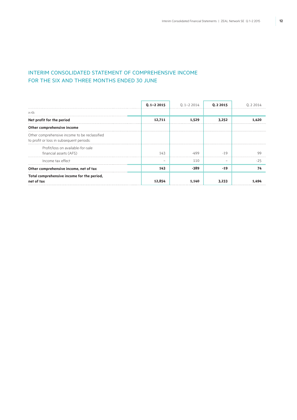# Interim Consolidated Statement of Comprehensive Income FOR THE SIX AND THREE MONTHS ENDED 30 JUNE

|                                                                                           | $0.1 - 22015$ | $Q.1 - 22014$ | 0.2 2015 | 0 2 2 0 1 4 |
|-------------------------------------------------------------------------------------------|---------------|---------------|----------|-------------|
| in $\epsilon$ k                                                                           |               |               |          |             |
| Net profit for the period                                                                 | 12,711        | 1.529         | 3.252    |             |
| Other comprehensive income                                                                |               |               |          |             |
| Other comprehensive income to be reclassified<br>to profit or loss in subsequent periods: |               |               |          |             |
| Profit/loss on available-for-sale<br>financial assets (AFS)                               | 143           | 499.          | $-19$    | -99         |
| Income tax effect                                                                         |               | 110           |          | -25         |
| Other comprehensive income, net of tax                                                    | 143           | -389          | $-19$    |             |
| Total comprehensive income for the period,<br>net of tax                                  | 12,854        |               | 3.233    |             |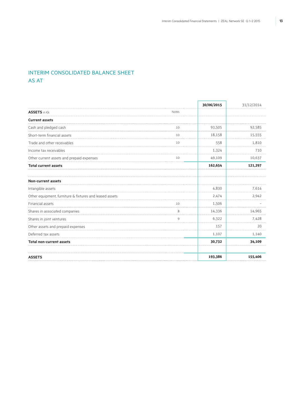# Interim Consolidated Balance Sheet **AS AT**

**30/06/2015** 31/12/2014 **ASSETS** in €k Notes **Current assets** Cash and pledged cash 32,585 92,585 92,585 92,585 93,505 93,505 93,505 93,505 93,505 93,505 93,505 93,505 93,505 93,505 93,505 93,505 93,505 93,505 93,505 93,505 93,505 93,505 93,505 93,505 93,505 93,505 93,505 93,505 93,5 Short-term financial assets 15,555 16, 18,158 16, 18,158 15,555 Trade and other receivables 1,810 Income tax receivables **1,324** 710 Other current assets and prepaid expenses 10 49,109 10,637 **Total current assets 162,654 121,297 Non-current assets** Intangible assets **4,830** 7,614 Other equipment, furniture & fixtures and leased assets 2,942 2,942 2,942 Financial assets  $\overline{10}$   $\overline{1,506}$   $\overline{1,506}$   $\overline{1,506}$   $\overline{1,506}$   $\overline{1,506}$   $\overline{1,506}$   $\overline{1,506}$   $\overline{1,506}$   $\overline{1,506}$   $\overline{1,506}$   $\overline{1,506}$   $\overline{1,506}$   $\overline{1,506}$   $\overline{1,506}$   $\overline{1,506}$ Shares in associated companies and the state of the state of the state of the state of the state of the state of the state of the state of the state of the state of the state of the state of the state of the state of the s Shares in joint ventures **6,322** 7,428 Other assets and prepaid expenses 157 20 Deferred tax assets 1,140 **Total non-current assets 30,732 34,109 Assets 193,386 155,406**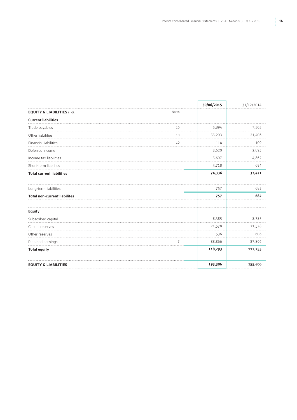|                                       |                | 30/06/2015 | 31/12/2014 |  |
|---------------------------------------|----------------|------------|------------|--|
| <b>EQUITY &amp; LIABILITIES in €k</b> | Notes          |            |            |  |
| <b>Current liabilities</b>            |                |            |            |  |
| Trade payables                        | 10             | 5,894      | 7,505      |  |
| Other liabilities                     | 10             | 55,293     | 21,406     |  |
| Financial liabilities                 | 10             | 114        | 109        |  |
| Deferred income                       |                | 3,620      | 2,895      |  |
| Income tax liabilities                |                | 5,697      | 4,862      |  |
| Short-term liabilites                 |                | 3,718      | 694        |  |
| <b>Total current liabilities</b>      |                | 74,336     | 37,471     |  |
| Long-term liabilities                 |                | 757        | 682        |  |
| <b>Total non-current liabilites</b>   |                | 757        | 682        |  |
| <b>Equity</b>                         |                |            |            |  |
| Subscribed capital                    |                | 8,385      | 8,385      |  |
| Capital reserves                      |                | 21,578     | 21,578     |  |
| Other reserves                        |                | $-536$     | $-606$     |  |
| Retained earnings                     | $\overline{7}$ | 88,866     | 87,896     |  |
| <b>Total equity</b>                   |                | 118,293    | 117,253    |  |
| <b>EQUITY &amp; LIABILITIES</b>       |                | 193,386    | 155,406    |  |
|                                       |                |            |            |  |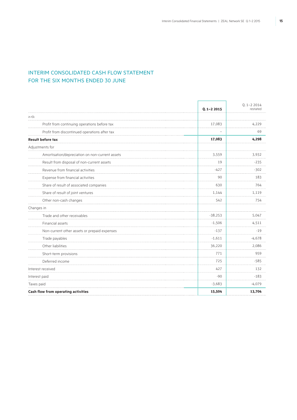# Interim Consolidated Cash Flow Statement FOR THE SIX MONTHS ENDED 30 JUNE

|                                                 | $Q.1 - 22015$ | $Q.1 - 22014$<br>restated |
|-------------------------------------------------|---------------|---------------------------|
| in $\epsilon$ k                                 |               |                           |
| Profit from continuing operations before tax    | 17,083        | 4,229                     |
| Profit from discontinued operations after tax   |               | 69                        |
| <b>Result before tax</b>                        | 17,083        | 4,298                     |
| Adjustments for                                 |               |                           |
| Amortisation/depreciation on non-current assets | 3,559         | 3,932                     |
| Result from disposal of non-current assets      | 19            | $-235$                    |
| Revenue from financial activities               | $-427$        | $-302$                    |
| Expense from financial activities               | 90            | 183                       |
| Share of result of associated companies         | 630           | 764                       |
| Share of result of joint ventures               | 1,144         | 1,119                     |
| Other non-cash changes                          | 542           | 754                       |
| Changes in                                      |               |                           |
| Trade and other receivables                     | $-38,253$     | 5,047                     |
| Financial assets                                | $-1,506$      | 4,511                     |
| Non-current other assets or prepaid expenses    | $-137$        | $-19$                     |
| Trade payables                                  | $-1,611$      | $-4,678$                  |
| Other liabilities                               | 36,220        | 2,086                     |
| Short-term provisions                           | 771           | 959                       |
| Deferred income                                 | 725           | $-585$                    |
| Interest received                               | 427           | 132                       |
| Interest paid                                   | $-90$         | $-183$                    |
| Taxes paid                                      | $-3,683$      | $-4,079$                  |
| Cash flow from operating activities             | 15,504        | 13,704                    |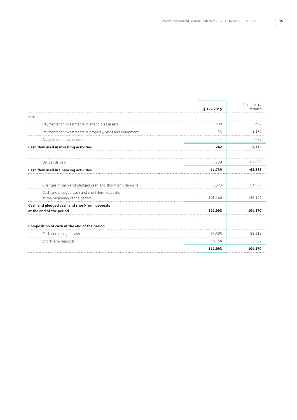F

٦

|                                                                                 | $0.1 - 22015$ | $Q.1 - 22014$<br>restated |
|---------------------------------------------------------------------------------|---------------|---------------------------|
| in $\epsilon$ k                                                                 |               |                           |
| Payments for investments in intangibles assets                                  | $-209$        | -694                      |
| Payments for investments in property, plant and equipment                       | $-33$         | $-1,156$                  |
| Acquisition of businesses                                                       |               | $-925$                    |
| Cash flow used in investing activities                                          | $-242$        | $-2,775$                  |
| Dividends paid                                                                  | $-11,739$     | $-62.888$                 |
| Cash flow used in financing activities                                          | $-11,739$     | $-62,888$                 |
| Changes in cash and pledged cash and short-term deposits                        | 3,523         | $-51.959$                 |
| Cash and pledged cash and short-term deposits<br>at the beginning of the period | 108,140       | 156,129                   |
| Cash and pledged cash and short-term deposits<br>at the end of the period       | 111,663       | 104,170                   |
| Composition of cash at the end of the period                                    |               |                           |
| Cash and pledged cash                                                           | 93,505        | 88,218                    |
| Short-term deposits                                                             | 18,158        | 15,952                    |
|                                                                                 | 111,663       | 104,170                   |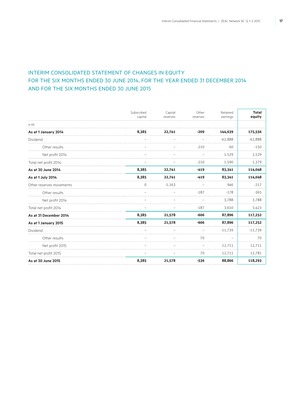# Interim Consolidated Statement of Changes in Equity FOR THE SIX MONTHS ENDED 30 JUNE 2014, FOR THE YEAR ENDED 31 DECEMBER 2014 AND FOR THE six MONTHS ENDED 30 June 2015

|                          | Subscribed<br>capital | Capital<br>reserves | Other<br>reserves | Retained<br>earnings | <b>Total</b><br>equity |
|--------------------------|-----------------------|---------------------|-------------------|----------------------|------------------------|
| in $\epsilon$ k          |                       |                     |                   |                      |                        |
| As at 1 January 2014     | 8,385                 | 22,741              | $-209$            | 144,639              | 175,556                |
| Dividend                 |                       |                     |                   | $-62.888$            | $-62,888$              |
| Other results            |                       |                     | $-210$            | 60                   | $-150$                 |
| Net profit 2014          |                       |                     |                   | 1,529                | 1,529                  |
| Total net profit 2014    |                       |                     | $-210$            | 1,590                | 1,379                  |
| As at 30 June 2014       | 8,385                 | 22,741              | $-419$            | 83,341               | 114,048                |
| As at 1 July 2014        | 8,385                 | 22,741              | $-419$            | 83,341               | 114,048                |
| Other reserves movements | $\Omega$              | $-1.163$            |                   | 946                  | $-217$                 |
| Other results            |                       |                     | $-187$            | $-178$               | $-365$                 |
| Net profit 2014          |                       |                     |                   | 3,788                | 3,788                  |
| Total net profit 2014    |                       |                     | $-187$            | 3,610                | 3,423                  |
| As at 31 December 2014   | 8,385                 | 21,578              | $-606$            | 87,896               | 117,252                |
| As at 1 January 2015     | 8,385                 | 21,578              | $-606$            | 87,896               | 117,252                |
| Dividend                 |                       |                     |                   | $-11,739$            | $-11,739$              |
| Other results            |                       |                     | 70                |                      | 70                     |
| Net profit 2015          |                       |                     |                   | 12,711               | 12,711                 |
| Total net profit 2015    |                       |                     | 70                | 12,711               | 12,781                 |
| As at 30 June 2015       | 8,385                 | 21,578              | $-536$            | 88,866               | 118,293                |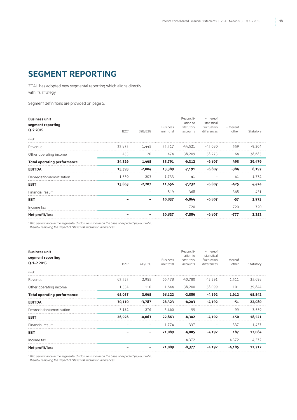# **SEGMENT REPORTING**

ZEAL has adopted new segmental reporting which aligns directly with its strategy.

Segment definitions are provided on page 5.

| <b>Business unit</b><br>segment reporting<br>Q. 2 2015 | B2C <sup>1</sup> | B2B/B2G  | <b>Business</b><br>unit total | Reconcili-<br>ation to<br>statutory<br>accounts | - thereof<br>statistical<br>fluctuation<br>differences | - thereof<br>other | Statutory |
|--------------------------------------------------------|------------------|----------|-------------------------------|-------------------------------------------------|--------------------------------------------------------|--------------------|-----------|
| in $\epsilon$ k                                        |                  |          |                               |                                                 |                                                        |                    |           |
| Revenue                                                | 33.873           | 1.445    | 35,317                        | $-44.521$                                       | $-45.080$                                              | 559                | $-9.204$  |
| Other operating income                                 | 453              | 20       | 474                           | 38,209                                          | 38,273                                                 | -64                | 38,683    |
| <b>Total operating performance</b>                     | 34,326           | 1,465    | 35,791                        | $-6,312$                                        | $-6,807$                                               | 495                | 29,479    |
| <b>EBITDA</b>                                          | 15,393           | $-2,004$ | 13,389                        | $-7,191$                                        | $-6,807$                                               | -384               | 6,197     |
| Depreciation/amortisation                              | $-1.530$         | $-203$   | $-1.733$                      | $-41$                                           |                                                        | $-41$              | $-1.774$  |
| <b>EBIT</b>                                            | 13,863           | $-2,207$ | 11,656                        | $-7,232$                                        | $-6,807$                                               | $-425$             | 4.424     |
| Financial result                                       |                  |          | $-819$                        | 368                                             |                                                        | 368                | $-451$    |
| EBT                                                    |                  |          | 10,837                        | $-6.864$                                        | $-6.807$                                               | $-57$              | 3,973     |
| Income tax                                             |                  |          |                               | $-720$                                          |                                                        | $-720$             | $-720$    |
| Net profit/loss                                        |                  |          | 10,837                        | $-7,584$                                        | $-6.807$                                               | $-777$             | 3,252     |

<sup>1</sup> B2C performance in the segmental disclosure is shown on the basis of expected pay-out ratio,

*thereby removing the impact of "statistical fluctuation differences".*

| <b>Business unit</b><br>segment reporting<br>Q.1-2 2015 | B2C <sup>1</sup> | B2B/B2G  | <b>Business</b><br>unit total | Reconcili-<br>ation to<br>statutory<br>accounts | - thereof<br>statistical<br>fluctuation<br>differences | - thereof<br>other | Statutory |
|---------------------------------------------------------|------------------|----------|-------------------------------|-------------------------------------------------|--------------------------------------------------------|--------------------|-----------|
| in $\in$ k                                              |                  |          |                               |                                                 |                                                        |                    |           |
| Revenue                                                 | 63,523           | 2,955    | 66.478                        | -40.780                                         | 42.291                                                 | 1,511              | 25.698    |
| Other operating income                                  | 1,534            | 110      | 1,644                         | 38,200                                          | 38,099                                                 | 101                | 39,844    |
| <b>Total operating performance</b>                      | 65,057           | 3,065    | 68,122                        | $-2,580$                                        | $-4,192$                                               | 1,612              | 65,542    |
| <b>EBITDA</b>                                           | 30,110           | $-3,787$ | 26,323                        | $-4,243$                                        | $-4,192$                                               | $-51$              | 22,080    |
| Depreciation/amortisation                               | $-3,184$         | $-276$   | $-3,460$                      | -99                                             |                                                        | -99                | $-3,559$  |
| <b>EBIT</b>                                             | 26,926           | $-4.063$ | 22,863                        | $-4.342$                                        | $-4.192$                                               | $-150$             | 18,521    |
| Financial result                                        |                  |          | $-1,774$                      | 337                                             |                                                        | 337                | $-1,437$  |
| EBT                                                     |                  |          | 21,089                        | $-4,005$                                        | $-4.192$                                               | 187                | 17,084    |
| Income tax                                              |                  |          |                               | $-4,372$                                        |                                                        | $-4,372$           | $-4,372$  |
| Net profit/loss                                         |                  |          | 21,089                        | $-8,377$                                        | $-4,192$                                               | $-4,185$           | 12,712    |

<sup>1</sup> B2C performance in the segmental disclosure is shown on the basis of expected pay-out ratio,

*thereby removing the impact of "statistical fluctuation differences".*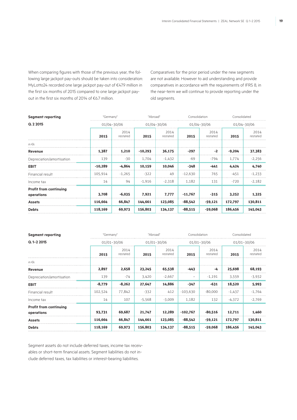When comparing figures with those of the previous year, the following large jackpot pay-outs should be taken into consideration: MyLotto24 recorded one large jackpot pay-out of €47.9 million in the first six months of 2015 compared to one large jackpot payout in the first six months of 2014 of €6.7 million.

Comparatives for the prior period under the new segments are not available. However to aid understanding and provide comparatives in accordance with the requirements of IFRS 8, in the near-term we will continue to provide reporting under the old segments.

| <b>Segment reporting</b>                    | "Germany"   |                  | "Abroad"  |                  | Consolidation |                  | Consolidated |                  |
|---------------------------------------------|-------------|------------------|-----------|------------------|---------------|------------------|--------------|------------------|
| Q. 2 2015                                   | 01/04-30/06 |                  |           | 01/04-30/06      | 01/04-30/06   |                  |              | 01/04-30/06      |
|                                             | 2015        | 2014<br>restated | 2015      | 2014<br>restated | 2015          | 2014<br>restated | 2015         | 2014<br>restated |
| in $\epsilon$ k                             |             |                  |           |                  |               |                  |              |                  |
| Revenue                                     | 1,387       | 1,210            | $-10,293$ | 36,175           | $-297$        | $-2$             | $-9,204$     | 37,383           |
| Depreciation/amortisation                   | 139         | -30              | 1,704     | $-1,432$         | $-69$         | $-794$           | 1,774        | $-2,256$         |
| <b>EBIT</b>                                 | $-10,289$   | $-4,864$         | 10,159    | 10,046           | $-348$        | $-441$           | 4,424        | 4,740            |
| Financial result                            | 105,914     | $-1.265$         | $-322$    | 49               | $-12.630$     | 765              | $-451$       | $-1,233$         |
| Income tax                                  | 14          | 94               | $-1,916$  | $-2,318$         | 1,182         | 131              | $-720$       | $-2,182$         |
| <b>Profit from continuing</b><br>operations | 3,708       | $-6,035$         | 7,921     | 7,777            | $-11,767$     | $-315$           | 3,252        | 1,325            |
| <b>Assets</b>                               | 116,664     | 66,847           | 144,661   | 123,085          | $-88,542$     | -59,121          | 172,797      | 130,811          |
| <b>Debts</b>                                | 118,169     | 69,973           | 156,803   | 134,137          | $-88,515$     | $-59,068$        | 186,456      | 145,043          |

| <b>Segment reporting</b>                    | "Germany"       |                  | "Abroad" |                  | Consolidation |                  | Consolidated |                  |
|---------------------------------------------|-----------------|------------------|----------|------------------|---------------|------------------|--------------|------------------|
| $Q.1 - 22015$                               | $01/01 - 30/06$ |                  |          | 01/01-30/06      |               | 01/01-30/06      |              | 01/01-30/06      |
|                                             | 2015            | 2014<br>restated | 2015     | 2014<br>restated | 2015          | 2014<br>restated | 2015         | 2014<br>restated |
| in $\epsilon$ k                             |                 |                  |          |                  |               |                  |              |                  |
| Revenue                                     | 2,897           | 2,658            | 23,245   | 65,538           | $-443$        | -4               | 25,698       | 68,193           |
| Depreciation/amortisation                   | 139             | $-74$            | 3,420    | $-2,667$         | -             | $-1,191$         | 3,559        | $-3,932$         |
| <b>EBIT</b>                                 | $-8,779$        | $-8,262$         | 27,647   | 14,886           | $-347$        | $-631$           | 18,520       | 5,993            |
| Financial result                            | 102,524         | 77,842           | $-332$   | 412              | $-103,630$    | $-80,000$        | $-1,437$     | $-1,764$         |
| Income tax                                  | 14              | 107              | -5.568   | $-3,009$         | 1,182         | 132              | $-4,372$     | $-2,769$         |
| <b>Profit from continuing</b><br>operations | 93,731          | 69,687           | 21,747   | 12,289           | $-102,767$    | $-80,516$        | 12,711       | 1,460            |
| <b>Assets</b>                               | 116,664         | 66,847           | 144,661  | 123,085          | $-88,542$     | $-59,121$        | 172,797      | 130,811          |
| <b>Debts</b>                                | 118,169         | 69,973           | 156,803  | 134,137          | $-88,515$     | $-59,068$        | 186,456      | 145,043          |

Segment assets do not include deferred taxes, income tax receivables or short-term financial assets. Segment liabilities do not include deferred taxes, tax liabilities or interest-bearing liabilities.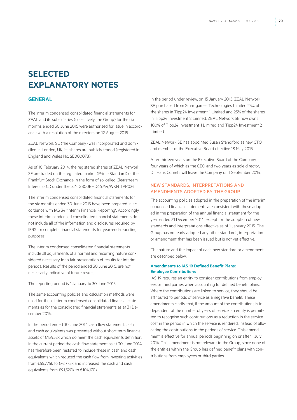# **SELECTED EXPLANATORY NOTES**

### **GENERAL**

The interim condensed consolidated financial statements for ZEAL and its subsidiaries (collectively, the Group) for the six months ended 30 June 2015 were authorised for issue in accordance with a resolution of the directors on 12 August 2015.

ZEAL Network SE (the Company) was incorporated and domiciled in London, UK, its shares are publicly traded (registered in England and Wales No. SE000078).

As of 10 February 2014, the registered shares of ZEAL Network SE are traded on the regulated market (Prime Standard) of the Frankfurt Stock Exchange in the form of so-called Clearstream Interests (CI) under the ISIN GB00BHD66J44/WKN TPP024.

The interim condensed consolidated financial statements for the six months ended 30 June 2015 have been prepared in accordance with IAS 34 "Interim Financial Reporting". Accordingly, these interim condensed consolidated financial statements do not include all of the information and disclosures required by IFRS for complete financial statements for year-end-reporting purposes.

The interim condensed consolidated financial statements include all adjustments of a normal and recurring nature considered necessary for a fair presentation of results for interim periods. Results of the period ended 30 June 2015, are not necessarily indicative of future results.

The reporting period is 1 January to 30 June 2015.

The same accounting policies and calculation methods were used for these interim condensed consolidated financial statements as for the consolidated financial statements as at 31 December 2014.

In the period ended 30 June 2014 cash flow statement, cash and cash equivalents was presented without short term financial assets of €15,952k which do meet the cash equivalents definition. In the current period the cash flow statement as at 30 June 2014 has therefore been restated to include these in cash and cash equivalents which reduced the cash flow from investing activities from €55,775k to €-2,775k and increased the cash and cash equivalents from €91,320k to €104,170k.

In the period under review, on 15 January 2015, ZEAL Network SE purchased from Smartgames Technologies Limited 25% of the shares in Tipp24 Investment 1 Limited and 25% of the shares in Tipp24 Investment 2 Limited. ZEAL Network SE now owns 100% of Tipp24 Investment 1 Limited and Tipp24 Investment 2 Limited.

ZEAL Network SE has appointed Susan Standiford as new CTO and member of the Executive Board effective 18 May 2015.

After thirteen years on the Executive Board of the Company, four years of which as the CEO and two years as sole director, Dr. Hans Cornehl will leave the Company on 1 September 2015.

### New standards, interpretations and amendments adopted by the Group

The accounting policies adopted in the preparation of the interim condensed financial statements are consistent with those adopted in the preparation of the annual financial statement for the year ended 31 December 2014, except for the adoption of new standards and interpretations effective as of 1 January 2015. The Group has not early adopted any other standards, interpretation or amendment that has been issued but is not yet effective.

The nature and the impact of each new standard or amendment are described below:

### **Amendments to IAS 19 Defined Benefit Plans: Employee Contributions**

IAS 19 requires an entity to consider contributions from employees or third parties when accounting for defined benefit plans. Where the contributions are linked to service, they should be attributed to periods of service as a negative benefit. These amendments clarify that, if the amount of the contributions is independent of the number of years of service, an entity is permitted to recognise such contributions as a reduction in the service cost in the period in which the service is rendered, instead of allocating the contributions to the periods of service. This amendment is effective for annual periods beginning on or after 1 July 2014. This amendment is not relevant to the Group, since none of the entities within the Group has defined benefit plans with contributions from employees or third parties.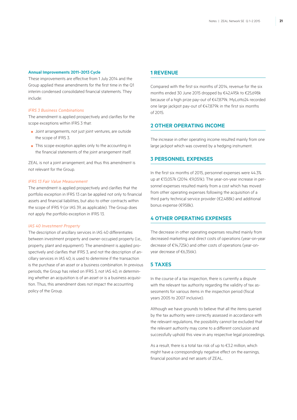### **Annual Improvements 2011–2013 Cycle**

These improvements are effective from 1 July 2014 and the Group applied these amendments for the first time in the Q1 interim condensed consolidated financial statements. They include:

#### *IFRS 3 Business Combinations*

The amendment is applied prospectively and clarifies for the scope exceptions within IFRS 3 that:

- Joint arrangements, not just joint ventures, are outside the scope of IFRS 3.
- This scope exception applies only to the accounting in the financial statements of the joint arrangement itself.

ZEAL is not a joint arrangement, and thus this amendment is not relevant for the Group.

#### *IFRS 13 Fair Value Measurement*

The amendment is applied prospectively and clarifies that the portfolio exception in IFRS 13 can be applied not only to financial assets and financial liabilities, but also to other contracts within the scope of IFRS 9 (or IAS 39, as applicable). The Group does not apply the portfolio exception in IFRS 13.

### *IAS 40 Investment Property*

The description of ancillary services in IAS 40 differentiates between investment property and owner-occupied property (i.e., property, plant and equipment). The amendment is applied prospectively and clarifies that IFRS 3, and not the description of ancillary services in IAS 40, is used to determine if the transaction is the purchase of an asset or a business combination. In previous periods, the Group has relied on IFRS 3, not IAS 40, in determining whether an acquisition is of an asset or is a business acquisition. Thus, this amendment does not impact the accounting policy of the Group.

### **1 Revenue**

Compared with the first six months of 2014, revenue for the six months ended 30 June 2015 dropped by €42,495k to €25,698k because of a high prize pay-out of €47,879k. MyLotto24 recorded one large jackpot pay-out of €47,879k in the first six months of 2015.

# **2 Other operating income**

The increase in other operating income resulted mainly from one large jackpot which was covered by a hedging instrument.

### **3 Personnel expenses**

In the first six months of 2015, personnel expenses were 44.3% up at €13,057k (2014: €9,051k). The year-on-year increase in personnel expenses resulted mainly from a cost which has moved from other operating expenses following the acquisition of a third party technical service provider (€2,488k) and additional bonus expense (€958k).

### **4 Other operating expenses**

The decrease in other operating expenses resulted mainly from decreased marketing and direct costs of operations (year-on-year decrease of €14,725k) and other costs of operations (year-onyear decrease of €6,356k).

# **5 Taxes**

In the course of a tax inspection, there is currently a dispute with the relevant tax authority regarding the validity of tax assessments for various items in the inspection period (fiscal years 2005 to 2007 inclusive).

Although we have grounds to believe that all the items queried by the tax authority were correctly assessed in accordance with the relevant regulations, the possibility cannot be excluded that the relevant authority may come to a different conclusion and successfully uphold this view in any respective legal proceedings.

As a result, there is a total tax risk of up to €3.2 million, which might have a correspondingly negative effect on the earnings, financial position and net assets of ZEAL.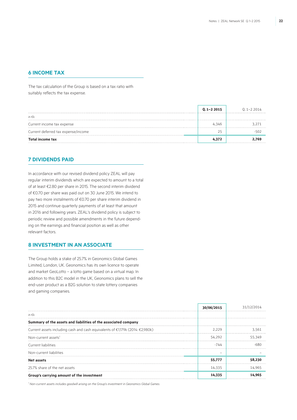### **6 Income tax**

The tax calculation of the Group is based on a tax ratio with suitably reflects the tax expense.

|                                     | $Q.1 - 22015$ | $0.1 - 2.2014$ |
|-------------------------------------|---------------|----------------|
| in $\epsilon$ k                     |               |                |
| Current income tax expense          | 4.346         |                |
| Current deferred tax expense/income |               |                |
| <b>Total income tax</b>             | 4.372         |                |

### **7 Dividends paid**

In accordance with our revised dividend policy ZEAL will pay regular interim dividends which are expected to amount to a total of at least €2.80 per share in 2015. The second interim dividend of €0.70 per share was paid out on 30 June 2015. We intend to pay two more instalments of €0.70 per share interim dividend in 2015 and continue quarterly payments of at least that amount in 2016 and following years. ZEAL's dividend policy is subject to periodic review and possible amendments in the future depending on the earnings and financial position as well as other relevant factors.

# **8 Investment in an associate**

The Group holds a stake of 25.7% in Geonomics Global Games Limited, London, UK. Geonomics has its own licence to operate and market GeoLotto – a lotto game based on a virtual map. In addition to this B2C model in the UK, Geonomics plans to sell the end-user product as a B2G solution to state lottery companies and gaming companies.

|                                                                               | 30/06/2015 | 31/12/2 |
|-------------------------------------------------------------------------------|------------|---------|
| in $\epsilon$ k                                                               |            |         |
| Summary of the assets and liabilities of the associated company               |            |         |
| Current assets including cash and cash equivalents of €1,179k (2014: €2,980k) | 2.229      | 3.561   |
| Non-current assets <sup>1</sup>                                               | 54,292     | 55.349  |
| Current liabilities                                                           | $-744$     |         |
| Non-current liabilities                                                       |            |         |
| Net assets                                                                    | 55,777     | 58,230  |
| 25.7% share of the net assets                                                 | 14,335     | 14.965  |
| Group's carrying amount of the investment                                     | 14.335     |         |

*1 Non-current assets includes goodwill arising on the Group's investment in Geonomics Global Games.*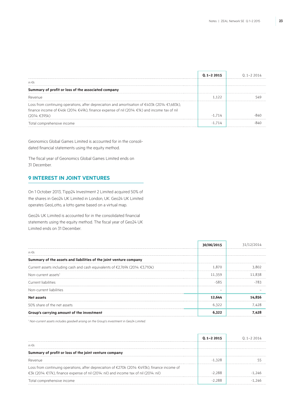|                                                                                                                                                                                                                                      | $0.1 - 2.2015$ | 1 1-2 2014 |
|--------------------------------------------------------------------------------------------------------------------------------------------------------------------------------------------------------------------------------------|----------------|------------|
| in €k                                                                                                                                                                                                                                |                |            |
| Summary of profit or loss of the associated company                                                                                                                                                                                  |                |            |
| Revenue                                                                                                                                                                                                                              |                |            |
| Loss from continuing operations, after depreciation and amortisation of $\epsilon$ 403k (2014: $\epsilon$ 1,683k),<br>finance income of €46k (2014: €49k), finance expense of nil (2014: €1k) and income tax of nil<br>(2014: €395k) | 714            |            |
| Total comprehensive income                                                                                                                                                                                                           |                |            |

Geonomics Global Games Limited is accounted for in the consolidated financial statements using the equity method.

The fiscal year of Geonomics Global Games Limited ends on 31 December.

# **9 Interest in joint ventures**

On 1 October 2013, Tipp24 Investment 2 Limited acquired 50% of the shares in Geo24 UK Limited in London, UK. Geo24 UK Limited operates GeoLotto, a lotto game based on a virtual map.

Geo24 UK Limited is accounted for in the consolidated financial statements using the equity method. The fiscal year of Geo24 UK Limited ends on 31 December.

|                                                                               | 30/06/2015 | 31/12/2 |
|-------------------------------------------------------------------------------|------------|---------|
| in $\epsilon$ k                                                               |            |         |
| Summary of the assets and liabilities of the joint venture company            |            |         |
| Current assets including cash and cash equivalents of €2,769k (2014: €3,710k) | 1.870      | 3.802   |
| Non-current assets <sup>1</sup>                                               | 11.359     | 11.838  |
| Current liabilities                                                           | $-585$     |         |
| Non-current liabilities                                                       |            |         |
| Net assets                                                                    | 12.644     | 14.856  |
| 50% share of the net assets                                                   | 6,322      | 7.428   |
| Group's carrying amount of the investment                                     | 6.322      |         |

*1 Non-current assets includes goodwill arising on the Group's investment in Geo24 Limited.*

|                                                                                               | $0.1 - 22015$ | $(1 - 7)$ 2014 |
|-----------------------------------------------------------------------------------------------|---------------|----------------|
| in $\epsilon$ k                                                                               |               |                |
| Summary of profit or loss of the joint venture company                                        |               |                |
| Revenue                                                                                       | $-1.328$      |                |
| Loss from continuing operations, after depreciation of €270k (2014: €493k), finance income of |               |                |
| €3k (2014: €17k), finance expense of nil (2014: nil) and income tax of nil (2014: nil)        | -2 288        |                |
| Total comprehensive income                                                                    |               |                |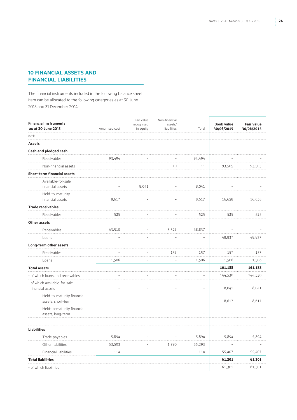# **10 Financial assets and financial liabilities**

The financial instruments included in the following balance sheet item can be allocated to the following categories as at 30 June 2015 and 31 December 2014:

| <b>Financial instruments</b><br>as at 30 June 2015 | Amortised cost | Fair value<br>recognised<br>in equity | Non-financial<br>assets/<br>liabilities | Total          | <b>Book value</b><br>30/06/2015 | <b>Fair value</b><br>30/06/2015 |
|----------------------------------------------------|----------------|---------------------------------------|-----------------------------------------|----------------|---------------------------------|---------------------------------|
| in $\epsilon$ k                                    |                |                                       |                                         |                |                                 |                                 |
| <b>Assets</b>                                      |                |                                       |                                         |                |                                 |                                 |
| Cash and pledged cash                              |                |                                       |                                         |                |                                 |                                 |
| Receivables                                        | 93,494         |                                       |                                         | 93,494         |                                 |                                 |
| Non-financial assets                               |                |                                       | 10                                      | 11             | 93,505                          | 93,505                          |
| <b>Short-term financial assets</b>                 |                |                                       |                                         |                |                                 |                                 |
| Available-for-sale<br>financial assets             |                | 8,041                                 |                                         | 8,041          |                                 |                                 |
| Held-to-maturity<br>financial assets               | 8,617          |                                       |                                         | 8,617          | 16,658                          | 16,658                          |
| <b>Trade receivables</b>                           |                |                                       |                                         |                |                                 |                                 |
| Receivables                                        | 525            |                                       |                                         | 525            | 525                             | 525                             |
| Other assets                                       |                |                                       |                                         |                |                                 |                                 |
| Receivables                                        | 43,510         |                                       | 5,327                                   | 48,837         |                                 |                                 |
| Loans                                              |                |                                       |                                         |                | 48,837                          | 48,837                          |
| Long-term other assets                             |                |                                       |                                         |                |                                 |                                 |
| Receivables                                        |                |                                       | 157                                     | 157            | 157                             | 157                             |
| Loans                                              | 1,506          |                                       |                                         | 1,506          | 1,506                           | 1,506                           |
| <b>Total assets</b>                                |                |                                       |                                         |                | 161,188                         | 161,188                         |
| - of which loans and receivables                   |                |                                       |                                         |                | 144,530                         | 144,530                         |
| - of which available-for-sale<br>financial assets  |                |                                       |                                         | $\equiv$       | 8,041                           | 8,041                           |
| Held-to-maturity financial<br>assets, short-term   |                |                                       | ÷                                       | ÷              | 8,617                           | 8,617                           |
| Held-to-maturity financial<br>assets, long-term    |                |                                       |                                         | $\overline{a}$ |                                 |                                 |
| <b>Liabilities</b>                                 |                |                                       |                                         |                |                                 |                                 |
| Trade payables                                     | 5,894          |                                       |                                         | 5,894          | 5,894                           | 5,894                           |
| Other liabilities                                  | 53,503         |                                       | 1,790                                   | 55,293         |                                 |                                 |
| Financial liabilities                              | 114            | $\overline{a}$                        |                                         | 114            | 55,407                          | 55,407                          |
| <b>Total liabilities</b>                           |                |                                       |                                         |                | 61,301                          | 61,301                          |
| - of which liabilities                             |                |                                       |                                         |                | 61,301                          | 61,301                          |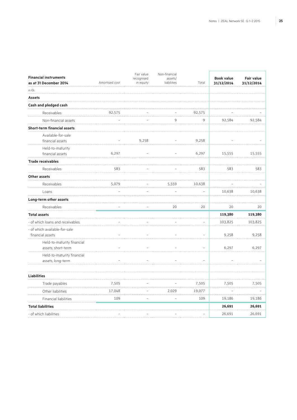| <b>Financial instruments</b><br>as at 31 December 2014 | Amortised cost | Fair value<br>recognised<br>in equity | Non-financial<br>assets/<br>liabilities | Total  | <b>Book value</b><br>31/12/2014 | <b>Fair value</b><br>31/12/2014 |
|--------------------------------------------------------|----------------|---------------------------------------|-----------------------------------------|--------|---------------------------------|---------------------------------|
| in $\epsilon$ k                                        |                |                                       |                                         |        |                                 |                                 |
| <b>Assets</b>                                          |                |                                       |                                         |        |                                 |                                 |
| Cash and pledged cash                                  |                |                                       |                                         |        |                                 |                                 |
| Receivables                                            | 92,575         |                                       |                                         | 92,575 |                                 |                                 |
| Non-financial assets                                   |                |                                       | 9                                       | 9      | 92,584                          | 92,584                          |
| <b>Short-term financial assets</b>                     |                |                                       |                                         |        |                                 |                                 |
| Available-for-sale                                     |                |                                       |                                         |        |                                 |                                 |
| financial assets                                       |                | 9,258                                 |                                         | 9,258  |                                 |                                 |
| Held-to-maturity                                       |                |                                       |                                         |        |                                 |                                 |
| financial assets                                       | 6,297          |                                       |                                         | 6,297  | 15,555                          | 15,555                          |
| <b>Trade receivables</b>                               |                |                                       |                                         |        |                                 |                                 |
| Receivables                                            | 583            |                                       |                                         | 583    | 583                             | 583                             |
| Other assets                                           |                |                                       |                                         |        |                                 |                                 |
| Receivables                                            | 5,079          |                                       | 5,559                                   | 10,638 |                                 |                                 |
| Loans                                                  |                |                                       |                                         |        | 10,638                          | 10,638                          |
| Long-term other assets                                 |                |                                       |                                         |        |                                 |                                 |
| Receivables                                            |                |                                       | 20                                      | 20     | 20                              | 20                              |
| <b>Total assets</b>                                    |                |                                       |                                         |        | 119,380                         | 119,380                         |
| - of which loans and receivables                       |                |                                       |                                         |        | 103,825                         | 103,825                         |
| - of which available-for-sale                          |                |                                       |                                         |        |                                 |                                 |
| financial assets                                       |                |                                       |                                         |        | 9,258                           | 9,258                           |
| Held-to-maturity financial<br>assets, short-term       |                |                                       |                                         |        | 6,297                           | 6,297                           |
| Held-to-maturity financial                             |                |                                       |                                         |        |                                 |                                 |
| assets, long-term                                      |                |                                       |                                         |        |                                 |                                 |
| <b>Liabilities</b>                                     |                |                                       |                                         |        |                                 |                                 |
| Trade payables                                         | 7,505          |                                       |                                         | 7,505  | 7,505                           | 7,505                           |
| Other liabilities                                      | 17,048         |                                       | 2,029                                   | 19,077 |                                 |                                 |
| Financial liabilities                                  | 109            |                                       |                                         | 109    | 19,186                          | 19,186                          |
| <b>Total liabilities</b>                               |                |                                       |                                         |        | 26,691                          | 26,691                          |
| - of which liabilities                                 |                |                                       |                                         |        | 26,691                          | 26,691                          |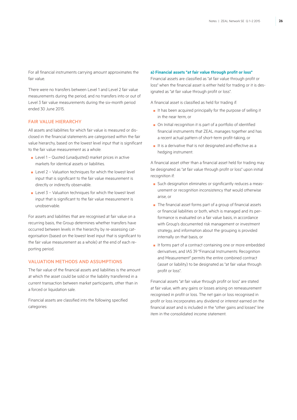For all financial instruments carrying amount approximates the fair value.

There were no transfers between Level 1 and Level 2 fair value measurements during the period, and no transfers into or out of Level 3 fair value measurements during the six-month period ended 30 June 2015.

### Fair value hierarchy

All assets and liabilities for which fair value is measured or disclosed in the financial statements are categorised within the fair value hierarchy, based on the lowest level input that is significant to the fair value measurement as a whole:

- Level 1 Quoted (unadjusted) market prices in active markets for identical assets or liabilities.
- Level 2 Valuation techniques for which the lowest level input that is significant to the fair value measurement is directly or indirectly observable.
- $\blacksquare$  Level 3 Valuation techniques for which the lowest level input that is significant to the fair value measurement is unobservable.

For assets and liabilities that are recognised at fair value on a recurring basis, the Group determines whether transfers have occurred between levels in the hierarchy by re-assessing categorisation (based on the lowest level input that is significant to the fair value measurement as a whole) at the end of each reporting period.

### Valuation methods and assumptions

The fair value of the financial assets and liabilities is the amount at which the asset could be sold or the liability transferred in a current transaction between market participants, other than in a forced or liquidation sale.

Financial assets are classified into the following specified categories:

#### **a) Financial assets "at fair value through profit or loss"**

Financial assets are classified as "at fair value through profit or loss" when the financial asset is either held for trading or it is designated as "at fair value through profit or loss".

A financial asset is classified as held for trading if:

- It has been acquired principally for the purpose of selling it in the near term, or
- On Initial recognition it is part of a portfolio of identified financial instruments that ZEAL manages together and has a recent actual pattern of short-term profit-taking, or
- It is a derivative that is not designated and effective as a hedging instrument.

A financial asset other than a financial asset held for trading may be designated as "at fair value through profit or loss" upon initial recognition if:

- Such designation eliminates or significantly reduces a measurement or recognition inconsistency that would otherwise arise, or
- The financial asset forms part of a group of financial assets or financial liabilities or both, which is managed and its performance is evaluated on a fair value basis, in accordance with Group's documented risk management or investment strategy, and information about the grouping is provided internally on that basis, or
- It forms part of a contract containing one or more embedded derivatives, and IAS 39 "Financial Instruments: Recognition and Measurement" permits the entire combined contract (asset or liability) to be designated as "at fair value through profit or loss".

Financial assets "at fair value through profit or loss" are stated at fair value, with any gains or losses arising on remeasurement recognised in profit or loss. The net gain or loss recognised in profit or loss incorporates any dividend or interest earned on the financial asset and is included in the "other gains and losses" line item in the consolidated income statement.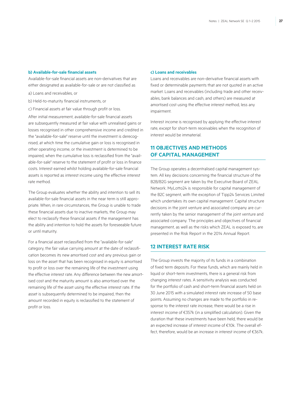### **b) Available-for-sale financial assets**

Available-for-sale financial assets are non-derivatives that are either designated as available-for-sale or are not classified as

- a) Loans and receivables, or
- b) Held-to-maturity financial instruments, or
- c) Financial assets at fair value through profit or loss.

After initial measurement, available-for-sale financial assets are subsequently measured at fair value with unrealised gains or losses recognised in other comprehensive income and credited in the "available-for-sale" reserve until the investment is derecognised, at which time the cumulative gain or loss is recognised in other operating income, or the investment is determined to be impaired, when the cumulative loss is reclassified from the "available-for-sale" reserve to the statement of profit or loss in finance costs. Interest earned whilst holding available-for-sale financial assets is reported as interest income using the effective interest rate method.

The Group evaluates whether the ability and intention to sell its available-for-sale financial assets in the near term is still appropriate. When, in rare circumstances, the Group is unable to trade these financial assets due to inactive markets, the Group may elect to reclassify these financial assets if the management has the ability and intention to hold the assets for foreseeable future or until maturity.

For a financial asset reclassified from the "available-for-sale" category, the fair value carrying amount at the date of reclassification becomes its new amortised cost and any previous gain or loss on the asset that has been recognised in equity is amortised to profit or loss over the remaining life of the investment using the effective interest rate. Any difference between the new amortised cost and the maturity amount is also amortised over the remaining life of the asset using the effective interest rate. If the asset is subsequently determined to be impaired, then the amount recorded in equity is reclassified to the statement of profit or loss.

### **c) Loans and receivables**

Loans and receivables are non-derivative financial assets with fixed or determinable payments that are not quoted in an active market. Loans and receivables (including trade and other receivables, bank balances and cash, and others) are measured at amortised cost using the effective interest method, less any impairment.

Interest income is recognised by applying the effective interest rate, except for short-term receivables when the recognition of interest would be immaterial.

# **11 Objectives and methods of capital management**

The Group operates a decentralised capital management system. All key decisions concerning the financial structure of the B2B/B2G segment are taken by the Executive Board of ZEAL Network. MyLotto24 is responsible for capital management of the B2C segment, with the exception of Tipp24 Services Limited which undertakes its own capital management. Capital structure decisions in the joint venture and associated company are currently taken by the senior management of the joint venture and associated company. The principles and objectives of financial management, as well as the risks which ZEAL is exposed to, are presented in the Risk Report in the 2014 Annual Report.

### **12 Interest rate risk**

The Group invests the majority of its funds in a combination of fixed term deposits. For these funds, which are mainly held in liquid or short-term investments, there is a general risk from changing interest rates. A sensitivity analysis was conducted for the portfolio of cash and short-term financial assets held on 30 June 2015 with a simulated interest rate increase of 50 base points. Assuming no changes are made to the portfolio in response to the interest rate increase, there would be a rise in interest income of €357k (in a simplified calculation). Given the duration that these investments have been held, there would be an expected increase of interest income of €10k. The overall effect, therefore, would be an increase in interest income of €367k.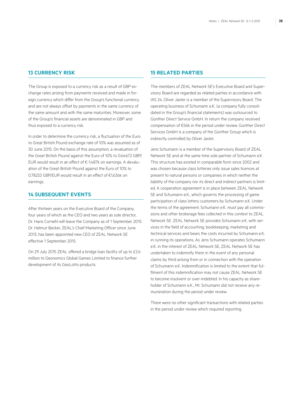### **13 Currency risk**

The Group is exposed to a currency risk as a result of GBP exchange rates arising from payments received and made in foreign currency which differ from the Group's functional currency and are not always offset by payments in the same currency of the same amount and with the same maturities. Moreover, some of the Group's financial assets are denominated in GBP and thus exposed to a currency risk.

In order to determine the currency risk, a fluctuation of the Euro to Great British Pound exchange rate of 10% was assumed as of 30 June 2015. On the basis of this assumption, a revaluation of the Great British Pound against the Euro of 10% to 0.64672 GBP/ EUR would result in an effect of €-1,487k on earnings. A devaluation of the Great British Pound against the Euro of 10% to 0.78253 GBP/EUR would result in an effect of €1,636k on earnings.

# **14 Subsequent events**

After thirteen years on the Executive Board of the Company, four years of which as the CEO and two years as sole director, Dr. Hans Cornehl will leave the Company as of 1 September 2015. Dr. Helmut Becker, ZEAL's Chief Marketing Officer since June 2013, has been appointed new CEO of ZEAL Network SE effective 1 September 2015.

On 29 July 2015 ZEAL offered a bridge loan facility of up to £2.6 million to Geonomics Global Games Limited to finance further development of its GeoLotto products.

### **15 Related parties**

The members of ZEAL Network SE's Executive Board and Supervisory Board are regarded as related parties in accordance with IAS 24, Oliver Jaster is a member of the Supervisory Board. The operating business of Schumann e.K. (a company fully consolidated in the Group's financial statements) was outsourced to Günther Direct Service GmbH. In return the company received compensation of €56k in the period under review. Günther Direct Services GmbH is a company of the Günther Group which is indirectly controlled by Oliver Jaster.

Jens Schumann is a member of the Supervisory Board of ZEAL Network SE and at the same time sole partner of Schumann e.K. This structure has existed in comparable form since 2002 and was chosen because class lotteries only issue sales licences at present to natural persons or companies in which neither the liability of the company nor its direct and indirect partners is limited. A cooperation agreement is in place between ZEAL Network SE and Schumann e.K., which governs the processing of game participation of class lottery customers by Schumann e.K. Under the terms of the agreement, Schumann e.K. must pay all commissions and other brokerage fees collected in this context to ZEAL Network SE. ZEAL Network SE provides Schumann e.K. with services in the field of accounting, bookkeeping, marketing and technical services and bears the costs incurred by Schumann e.K. in running its operations. As Jens Schumann operates Schumann e.K. in the interest of ZEAL Network SE, ZEAL Network SE has undertaken to indemnify them in the event of any personal claims by third arising from or in connection with the operation of Schumann e.K. Indemnification is limited to the extent that fulfilment of this indemnification may not cause ZEAL Network SE to become insolvent or over-indebted. In his capacity as shareholder of Schumann e.K., Mr. Schumann did not receive any remuneration during the period under review.

There were no other significant transactions with related parties in the period under review which required reporting.